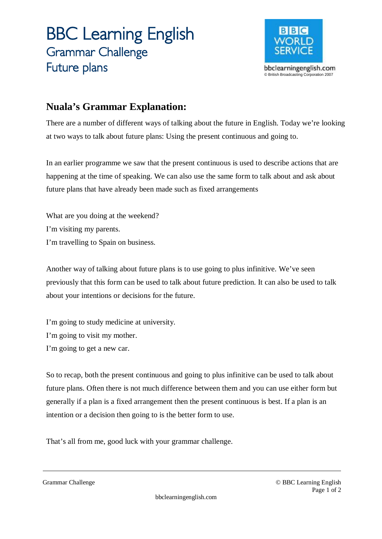## **BBC Learning English Grammar Challenge Future plans**



## **Nuala's Grammar Explanation:**

There are a number of different ways of talking about the future in English. Today we're looking at two ways to talk about future plans: Using the present continuous and going to.

In an earlier programme we saw that the present continuous is used to describe actions that are happening at the time of speaking. We can also use the same form to talk about and ask about future plans that have already been made such as fixed arrangements

What are you doing at the weekend? I'm visiting my parents. I'm travelling to Spain on business.

Another way of talking about future plans is to use going to plus infinitive. We've seen previously that this form can be used to talk about future prediction. It can also be used to talk about your intentions or decisions for the future.

I'm going to study medicine at university. I'm going to visit my mother. I'm going to get a new car.

So to recap, both the present continuous and going to plus infinitive can be used to talk about future plans. Often there is not much difference between them and you can use either form but generally if a plan is a fixed arrangement then the present continuous is best. If a plan is an intention or a decision then going to is the better form to use.

That's all from me, good luck with your grammar challenge.

Grammar Challenge © BBC Learning English Page 1 of 2

bbclearningenglish.com